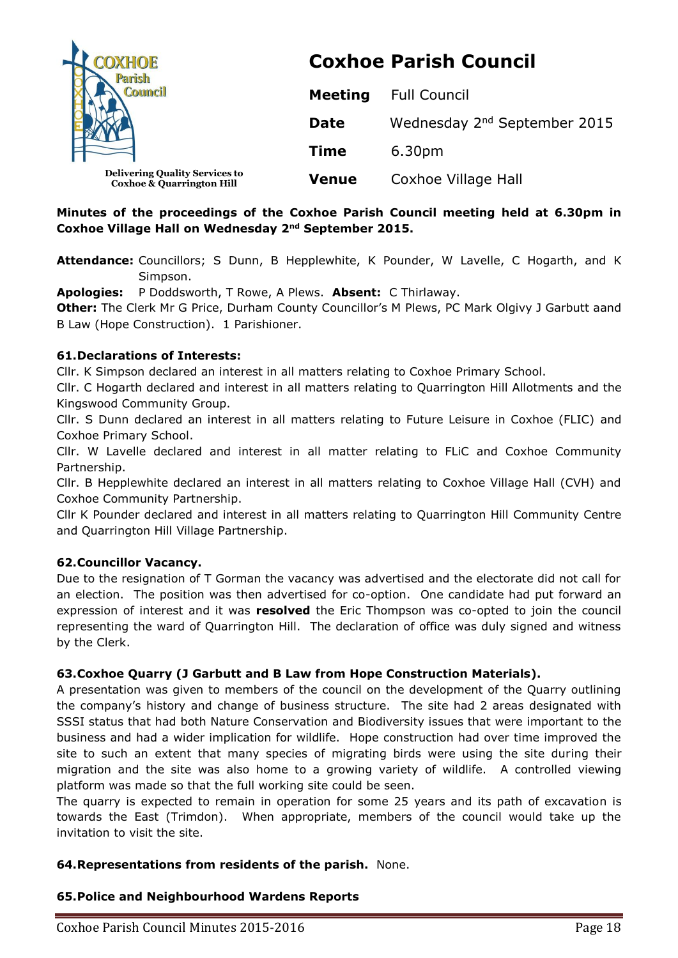

# **Coxhoe Parish Council**

| <b>Council</b>                                                                |              | <b>Meeting</b> Full Council              |  |
|-------------------------------------------------------------------------------|--------------|------------------------------------------|--|
| M                                                                             | <b>Date</b>  | Wednesday 2 <sup>nd</sup> September 2015 |  |
|                                                                               | Time         | 6.30pm                                   |  |
| <b>Delivering Quality Services to</b><br><b>Coxhoe &amp; Quarrington Hill</b> | <b>Venue</b> | Coxhoe Village Hall                      |  |

# **Minutes of the proceedings of the Coxhoe Parish Council meeting held at 6.30pm in Coxhoe Village Hall on Wednesday 2nd September 2015.**

**Attendance:** Councillors; S Dunn, B Hepplewhite, K Pounder, W Lavelle, C Hogarth, and K Simpson.

**Apologies:** P Doddsworth, T Rowe, A Plews. **Absent:** C Thirlaway.

**Other:** The Clerk Mr G Price, Durham County Councillor's M Plews, PC Mark Olgivy J Garbutt aand B Law (Hope Construction). 1 Parishioner.

# **61.Declarations of Interests:**

Cllr. K Simpson declared an interest in all matters relating to Coxhoe Primary School.

Cllr. C Hogarth declared and interest in all matters relating to Quarrington Hill Allotments and the Kingswood Community Group.

Cllr. S Dunn declared an interest in all matters relating to Future Leisure in Coxhoe (FLIC) and Coxhoe Primary School.

Cllr. W Lavelle declared and interest in all matter relating to FLiC and Coxhoe Community Partnership.

Cllr. B Hepplewhite declared an interest in all matters relating to Coxhoe Village Hall (CVH) and Coxhoe Community Partnership.

Cllr K Pounder declared and interest in all matters relating to Quarrington Hill Community Centre and Quarrington Hill Village Partnership.

# **62.Councillor Vacancy.**

Due to the resignation of T Gorman the vacancy was advertised and the electorate did not call for an election. The position was then advertised for co-option. One candidate had put forward an expression of interest and it was **resolved** the Eric Thompson was co-opted to join the council representing the ward of Quarrington Hill. The declaration of office was duly signed and witness by the Clerk.

# **63.Coxhoe Quarry (J Garbutt and B Law from Hope Construction Materials).**

A presentation was given to members of the council on the development of the Quarry outlining the company's history and change of business structure. The site had 2 areas designated with SSSI status that had both Nature Conservation and Biodiversity issues that were important to the business and had a wider implication for wildlife. Hope construction had over time improved the site to such an extent that many species of migrating birds were using the site during their migration and the site was also home to a growing variety of wildlife. A controlled viewing platform was made so that the full working site could be seen.

The quarry is expected to remain in operation for some 25 years and its path of excavation is towards the East (Trimdon). When appropriate, members of the council would take up the invitation to visit the site.

## **64.Representations from residents of the parish.** None.

## **65.Police and Neighbourhood Wardens Reports**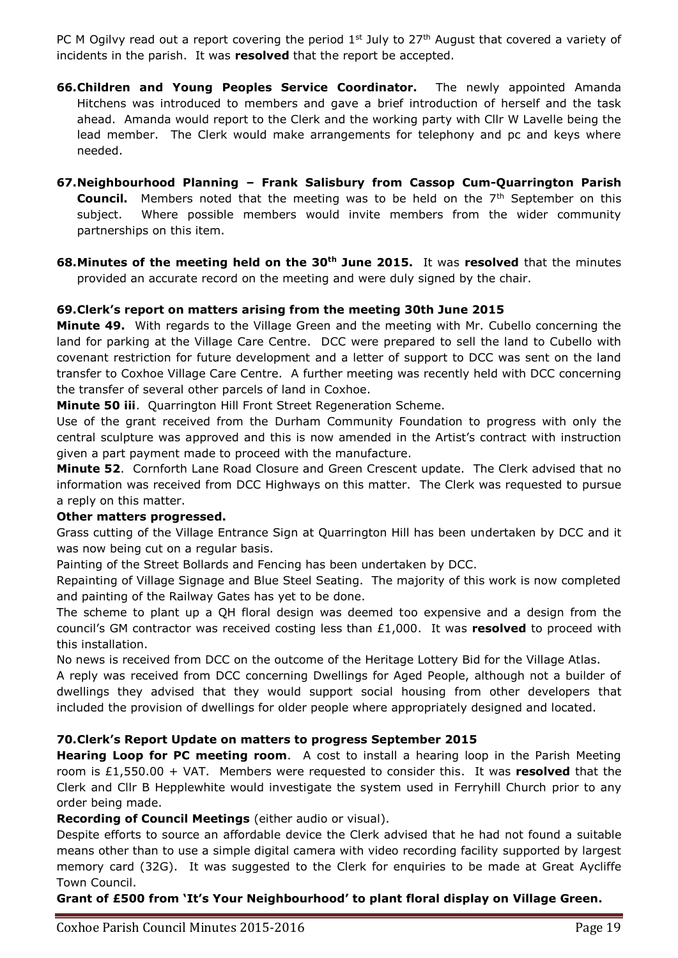PC M Ogilvy read out a report covering the period  $1<sup>st</sup>$  July to 27<sup>th</sup> August that covered a variety of incidents in the parish. It was **resolved** that the report be accepted.

- **66.Children and Young Peoples Service Coordinator.** The newly appointed Amanda Hitchens was introduced to members and gave a brief introduction of herself and the task ahead. Amanda would report to the Clerk and the working party with Cllr W Lavelle being the lead member. The Clerk would make arrangements for telephony and pc and keys where needed.
- **67.Neighbourhood Planning – Frank Salisbury from Cassop Cum-Quarrington Parish Council.** Members noted that the meeting was to be held on the 7<sup>th</sup> September on this subject. Where possible members would invite members from the wider community partnerships on this item.
- **68.Minutes of the meeting held on the 30th June 2015.** It was **resolved** that the minutes provided an accurate record on the meeting and were duly signed by the chair.

## **69.Clerk's report on matters arising from the meeting 30th June 2015**

**Minute 49.** With regards to the Village Green and the meeting with Mr. Cubello concerning the land for parking at the Village Care Centre. DCC were prepared to sell the land to Cubello with covenant restriction for future development and a letter of support to DCC was sent on the land transfer to Coxhoe Village Care Centre. A further meeting was recently held with DCC concerning the transfer of several other parcels of land in Coxhoe.

**Minute 50 iii**. Quarrington Hill Front Street Regeneration Scheme.

Use of the grant received from the Durham Community Foundation to progress with only the central sculpture was approved and this is now amended in the Artist's contract with instruction given a part payment made to proceed with the manufacture.

**Minute 52**. Cornforth Lane Road Closure and Green Crescent update. The Clerk advised that no information was received from DCC Highways on this matter. The Clerk was requested to pursue a reply on this matter.

#### **Other matters progressed.**

Grass cutting of the Village Entrance Sign at Quarrington Hill has been undertaken by DCC and it was now being cut on a regular basis.

Painting of the Street Bollards and Fencing has been undertaken by DCC.

Repainting of Village Signage and Blue Steel Seating. The majority of this work is now completed and painting of the Railway Gates has yet to be done.

The scheme to plant up a QH floral design was deemed too expensive and a design from the council's GM contractor was received costing less than £1,000. It was **resolved** to proceed with this installation.

No news is received from DCC on the outcome of the Heritage Lottery Bid for the Village Atlas.

A reply was received from DCC concerning Dwellings for Aged People, although not a builder of dwellings they advised that they would support social housing from other developers that included the provision of dwellings for older people where appropriately designed and located.

## **70.Clerk's Report Update on matters to progress September 2015**

**Hearing Loop for PC meeting room**. A cost to install a hearing loop in the Parish Meeting room is £1,550.00 + VAT. Members were requested to consider this. It was **resolved** that the Clerk and Cllr B Hepplewhite would investigate the system used in Ferryhill Church prior to any order being made.

**Recording of Council Meetings** (either audio or visual).

Despite efforts to source an affordable device the Clerk advised that he had not found a suitable means other than to use a simple digital camera with video recording facility supported by largest memory card (32G). It was suggested to the Clerk for enquiries to be made at Great Aycliffe Town Council.

**Grant of £500 from 'It's Your Neighbourhood' to plant floral display on Village Green.**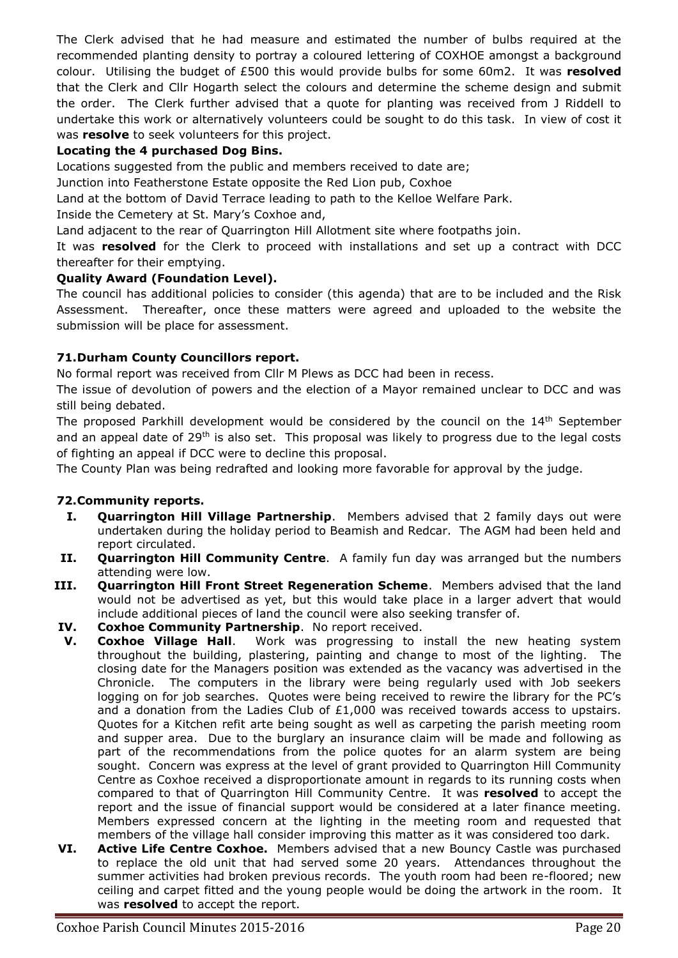The Clerk advised that he had measure and estimated the number of bulbs required at the recommended planting density to portray a coloured lettering of COXHOE amongst a background colour. Utilising the budget of £500 this would provide bulbs for some 60m2. It was **resolved** that the Clerk and Cllr Hogarth select the colours and determine the scheme design and submit the order. The Clerk further advised that a quote for planting was received from J Riddell to undertake this work or alternatively volunteers could be sought to do this task. In view of cost it was **resolve** to seek volunteers for this project.

## **Locating the 4 purchased Dog Bins.**

Locations suggested from the public and members received to date are;

Junction into Featherstone Estate opposite the Red Lion pub, Coxhoe

Land at the bottom of David Terrace leading to path to the Kelloe Welfare Park.

Inside the Cemetery at St. Mary's Coxhoe and,

Land adjacent to the rear of Quarrington Hill Allotment site where footpaths join.

It was **resolved** for the Clerk to proceed with installations and set up a contract with DCC thereafter for their emptying.

## **Quality Award (Foundation Level).**

The council has additional policies to consider (this agenda) that are to be included and the Risk Assessment. Thereafter, once these matters were agreed and uploaded to the website the submission will be place for assessment.

## **71.Durham County Councillors report.**

No formal report was received from Cllr M Plews as DCC had been in recess.

The issue of devolution of powers and the election of a Mayor remained unclear to DCC and was still being debated.

The proposed Parkhill development would be considered by the council on the  $14<sup>th</sup>$  September and an appeal date of  $29<sup>th</sup>$  is also set. This proposal was likely to progress due to the legal costs of fighting an appeal if DCC were to decline this proposal.

The County Plan was being redrafted and looking more favorable for approval by the judge.

# **72.Community reports.**

- **I. Quarrington Hill Village Partnership**. Members advised that 2 family days out were undertaken during the holiday period to Beamish and Redcar. The AGM had been held and report circulated.
- **II. Quarrington Hill Community Centre**. A family fun day was arranged but the numbers attending were low.
- **III. Quarrington Hill Front Street Regeneration Scheme**. Members advised that the land would not be advertised as yet, but this would take place in a larger advert that would include additional pieces of land the council were also seeking transfer of.
- **IV. Coxhoe Community Partnership**. No report received.
- **V. Coxhoe Village Hall**. Work was progressing to install the new heating system throughout the building, plastering, painting and change to most of the lighting. The closing date for the Managers position was extended as the vacancy was advertised in the Chronicle. The computers in the library were being regularly used with Job seekers logging on for job searches. Quotes were being received to rewire the library for the PC's and a donation from the Ladies Club of  $£1,000$  was received towards access to upstairs. Quotes for a Kitchen refit arte being sought as well as carpeting the parish meeting room and supper area. Due to the burglary an insurance claim will be made and following as part of the recommendations from the police quotes for an alarm system are being sought. Concern was express at the level of grant provided to Quarrington Hill Community Centre as Coxhoe received a disproportionate amount in regards to its running costs when compared to that of Quarrington Hill Community Centre. It was **resolved** to accept the report and the issue of financial support would be considered at a later finance meeting. Members expressed concern at the lighting in the meeting room and requested that members of the village hall consider improving this matter as it was considered too dark.
- **VI. Active Life Centre Coxhoe.** Members advised that a new Bouncy Castle was purchased to replace the old unit that had served some 20 years. Attendances throughout the summer activities had broken previous records. The youth room had been re-floored; new ceiling and carpet fitted and the young people would be doing the artwork in the room. It was **resolved** to accept the report.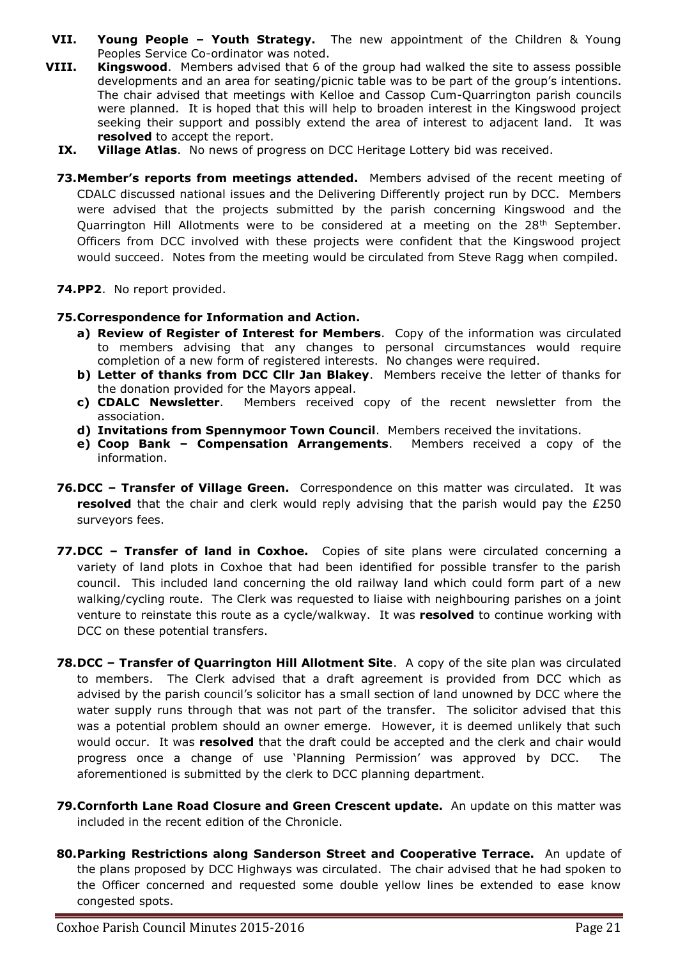- **VII. Young People – Youth Strategy.** The new appointment of the Children & Young Peoples Service Co-ordinator was noted.
- **VIII. Kingswood**. Members advised that 6 of the group had walked the site to assess possible developments and an area for seating/picnic table was to be part of the group's intentions. The chair advised that meetings with Kelloe and Cassop Cum-Quarrington parish councils were planned. It is hoped that this will help to broaden interest in the Kingswood project seeking their support and possibly extend the area of interest to adjacent land. It was **resolved** to accept the report.
	- **IX. Village Atlas**. No news of progress on DCC Heritage Lottery bid was received.
	- **73.Member's reports from meetings attended.** Members advised of the recent meeting of CDALC discussed national issues and the Delivering Differently project run by DCC. Members were advised that the projects submitted by the parish concerning Kingswood and the Quarrington Hill Allotments were to be considered at a meeting on the 28<sup>th</sup> September. Officers from DCC involved with these projects were confident that the Kingswood project would succeed. Notes from the meeting would be circulated from Steve Ragg when compiled.
	- **74.PP2**. No report provided.

#### **75.Correspondence for Information and Action.**

- **a) Review of Register of Interest for Members**. Copy of the information was circulated to members advising that any changes to personal circumstances would require completion of a new form of registered interests. No changes were required.
- **b) Letter of thanks from DCC Cllr Jan Blakey**. Members receive the letter of thanks for the donation provided for the Mayors appeal.
- **c) CDALC Newsletter**. Members received copy of the recent newsletter from the association.
- **d) Invitations from Spennymoor Town Council**. Members received the invitations.
- **e) Coop Bank – Compensation Arrangements**. Members received a copy of the information.
- **76.DCC – Transfer of Village Green.** Correspondence on this matter was circulated. It was **resolved** that the chair and clerk would reply advising that the parish would pay the £250 surveyors fees.
- **77.DCC – Transfer of land in Coxhoe.** Copies of site plans were circulated concerning a variety of land plots in Coxhoe that had been identified for possible transfer to the parish council. This included land concerning the old railway land which could form part of a new walking/cycling route. The Clerk was requested to liaise with neighbouring parishes on a joint venture to reinstate this route as a cycle/walkway. It was **resolved** to continue working with DCC on these potential transfers.
- **78.DCC – Transfer of Quarrington Hill Allotment Site**. A copy of the site plan was circulated to members. The Clerk advised that a draft agreement is provided from DCC which as advised by the parish council's solicitor has a small section of land unowned by DCC where the water supply runs through that was not part of the transfer. The solicitor advised that this was a potential problem should an owner emerge. However, it is deemed unlikely that such would occur. It was **resolved** that the draft could be accepted and the clerk and chair would progress once a change of use 'Planning Permission' was approved by DCC. The aforementioned is submitted by the clerk to DCC planning department.
- **79.Cornforth Lane Road Closure and Green Crescent update.** An update on this matter was included in the recent edition of the Chronicle.
- **80.Parking Restrictions along Sanderson Street and Cooperative Terrace.** An update of the plans proposed by DCC Highways was circulated. The chair advised that he had spoken to the Officer concerned and requested some double yellow lines be extended to ease know congested spots.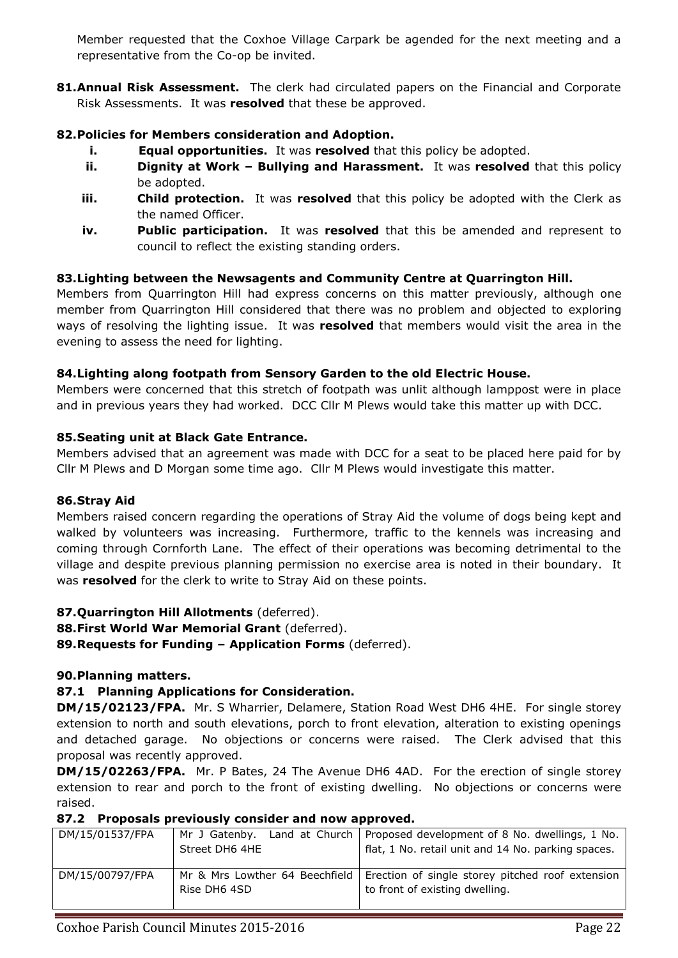Member requested that the Coxhoe Village Carpark be agended for the next meeting and a representative from the Co-op be invited.

81. Annual Risk Assessment. The clerk had circulated papers on the Financial and Corporate Risk Assessments. It was **resolved** that these be approved.

# **82.Policies for Members consideration and Adoption.**

- **i. Equal opportunities.** It was **resolved** that this policy be adopted.
- **ii. Dignity at Work Bullying and Harassment.** It was **resolved** that this policy be adopted.
- **iii. Child protection.** It was **resolved** that this policy be adopted with the Clerk as the named Officer.
- **iv. Public participation.** It was **resolved** that this be amended and represent to council to reflect the existing standing orders.

# **83.Lighting between the Newsagents and Community Centre at Quarrington Hill.**

Members from Quarrington Hill had express concerns on this matter previously, although one member from Quarrington Hill considered that there was no problem and objected to exploring ways of resolving the lighting issue. It was **resolved** that members would visit the area in the evening to assess the need for lighting.

# **84.Lighting along footpath from Sensory Garden to the old Electric House.**

Members were concerned that this stretch of footpath was unlit although lamppost were in place and in previous years they had worked. DCC Cllr M Plews would take this matter up with DCC.

# **85.Seating unit at Black Gate Entrance.**

Members advised that an agreement was made with DCC for a seat to be placed here paid for by Cllr M Plews and D Morgan some time ago. Cllr M Plews would investigate this matter.

# **86.Stray Aid**

Members raised concern regarding the operations of Stray Aid the volume of dogs being kept and walked by volunteers was increasing. Furthermore, traffic to the kennels was increasing and coming through Cornforth Lane. The effect of their operations was becoming detrimental to the village and despite previous planning permission no exercise area is noted in their boundary. It was **resolved** for the clerk to write to Stray Aid on these points.

# **87.Quarrington Hill Allotments** (deferred).

**88.First World War Memorial Grant** (deferred).

**89.Requests for Funding – Application Forms** (deferred).

# **90.Planning matters.**

# **87.1 Planning Applications for Consideration.**

**DM/15/02123/FPA.** Mr. S Wharrier, Delamere, Station Road West DH6 4HE. For single storey extension to north and south elevations, porch to front elevation, alteration to existing openings and detached garage. No objections or concerns were raised. The Clerk advised that this proposal was recently approved.

**DM/15/02263/FPA.** Mr. P Bates, 24 The Avenue DH6 4AD. For the erection of single storey extension to rear and porch to the front of existing dwelling. No objections or concerns were raised.

## **87.2 Proposals previously consider and now approved.**

| DM/15/01537/FPA | Land at Church<br>  Mr J Gatenbv.<br>Street DH6 4HE | Proposed development of 8 No. dwellings, 1 No.<br>flat, 1 No. retail unit and 14 No. parking spaces. |  |  |  |  |
|-----------------|-----------------------------------------------------|------------------------------------------------------------------------------------------------------|--|--|--|--|
| DM/15/00797/FPA | Mr & Mrs Lowther 64 Beechfield<br>Rise DH6 4SD      | Erection of single storey pitched roof extension<br>to front of existing dwelling.                   |  |  |  |  |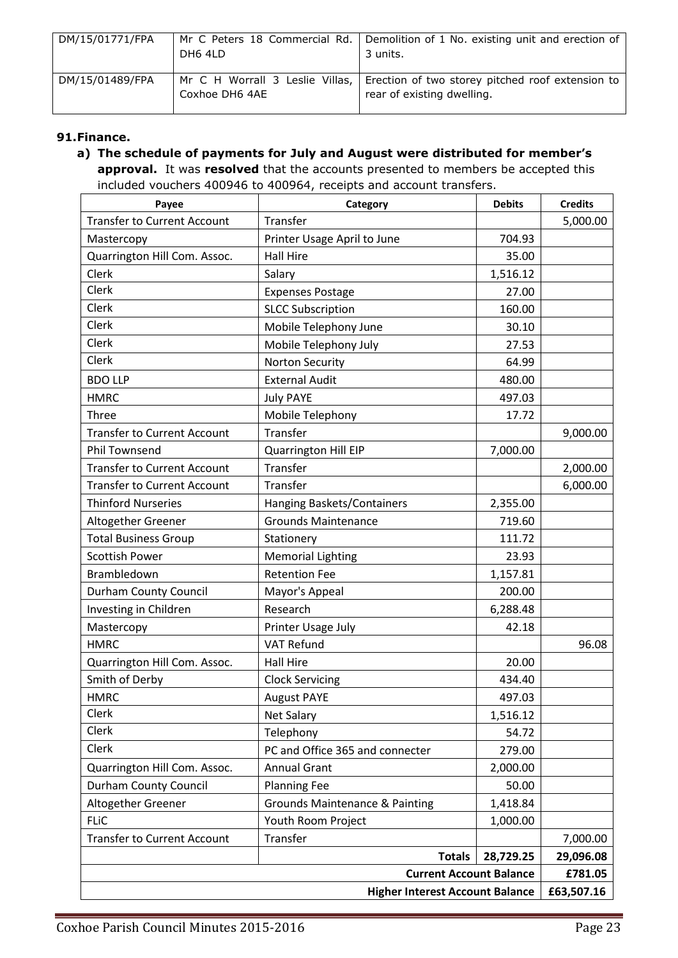| DM/15/01771/FPA | Mr C Peters 18 Commercial Rd.<br>DH6 4LD          | Demolition of 1 No. existing unit and erection of<br>3 units.                  |
|-----------------|---------------------------------------------------|--------------------------------------------------------------------------------|
| DM/15/01489/FPA | Mr C H Worrall 3 Leslie Villas,<br>Coxhoe DH6 4AE | Erection of two storey pitched roof extension to<br>rear of existing dwelling. |

## **91.Finance.**

## **a) The schedule of payments for July and August were distributed for member's approval.** It was **resolved** that the accounts presented to members be accepted this included vouchers 400946 to 400964, receipts and account transfers.

| Payee                                  | Category                                  | <b>Debits</b> | <b>Credits</b> |  |
|----------------------------------------|-------------------------------------------|---------------|----------------|--|
| <b>Transfer to Current Account</b>     | Transfer                                  |               | 5,000.00       |  |
| Mastercopy                             | Printer Usage April to June               | 704.93        |                |  |
| Quarrington Hill Com. Assoc.           | <b>Hall Hire</b>                          | 35.00         |                |  |
| Clerk                                  | Salary                                    | 1,516.12      |                |  |
| Clerk                                  | <b>Expenses Postage</b>                   | 27.00         |                |  |
| Clerk                                  | <b>SLCC Subscription</b>                  | 160.00        |                |  |
| Clerk                                  | Mobile Telephony June                     | 30.10         |                |  |
| Clerk                                  | Mobile Telephony July                     | 27.53         |                |  |
| Clerk                                  | <b>Norton Security</b>                    | 64.99         |                |  |
| <b>BDO LLP</b>                         | <b>External Audit</b>                     | 480.00        |                |  |
| <b>HMRC</b>                            | <b>July PAYE</b>                          | 497.03        |                |  |
| Three                                  | Mobile Telephony                          | 17.72         |                |  |
| <b>Transfer to Current Account</b>     | Transfer                                  |               | 9,000.00       |  |
| <b>Phil Townsend</b>                   | Quarrington Hill EIP                      | 7,000.00      |                |  |
| <b>Transfer to Current Account</b>     | Transfer                                  |               | 2,000.00       |  |
| <b>Transfer to Current Account</b>     | Transfer                                  |               | 6,000.00       |  |
| <b>Thinford Nurseries</b>              | Hanging Baskets/Containers                | 2,355.00      |                |  |
| Altogether Greener                     | <b>Grounds Maintenance</b>                | 719.60        |                |  |
| <b>Total Business Group</b>            | Stationery                                | 111.72        |                |  |
| <b>Scottish Power</b>                  | <b>Memorial Lighting</b>                  | 23.93         |                |  |
| Brambledown                            | <b>Retention Fee</b>                      | 1,157.81      |                |  |
| <b>Durham County Council</b>           | Mayor's Appeal                            | 200.00        |                |  |
| Investing in Children                  | Research                                  | 6,288.48      |                |  |
| Mastercopy                             | Printer Usage July                        | 42.18         |                |  |
| <b>HMRC</b>                            | <b>VAT Refund</b>                         |               | 96.08          |  |
| Quarrington Hill Com. Assoc.           | <b>Hall Hire</b>                          | 20.00         |                |  |
| Smith of Derby                         | <b>Clock Servicing</b>                    | 434.40        |                |  |
| <b>HMRC</b>                            | <b>August PAYE</b>                        | 497.03        |                |  |
| Clerk                                  | <b>Net Salary</b>                         | 1,516.12      |                |  |
| Clerk                                  | Telephony                                 | 54.72         |                |  |
| Clerk                                  | PC and Office 365 and connecter           | 279.00        |                |  |
| Quarrington Hill Com. Assoc.           | <b>Annual Grant</b>                       | 2,000.00      |                |  |
| <b>Durham County Council</b>           | <b>Planning Fee</b>                       | 50.00         |                |  |
| Altogether Greener                     | <b>Grounds Maintenance &amp; Painting</b> | 1,418.84      |                |  |
| <b>FLIC</b>                            | Youth Room Project                        | 1,000.00      |                |  |
| <b>Transfer to Current Account</b>     | Transfer                                  |               | 7,000.00       |  |
|                                        | <b>Totals</b>                             | 28,729.25     | 29,096.08      |  |
| <b>Current Account Balance</b>         |                                           |               |                |  |
| <b>Higher Interest Account Balance</b> |                                           |               |                |  |